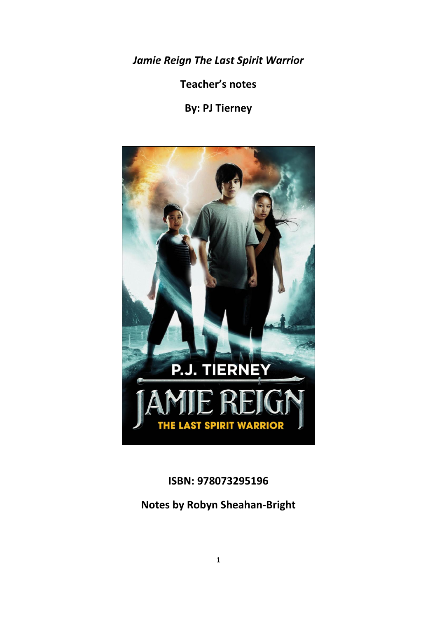*Jamie Reign The Last Spirit Warrior*

**Teacher's notes**

**By: PJ Tierney** 



**ISBN: 978073295196**

**Notes by Robyn Sheahan-Bright**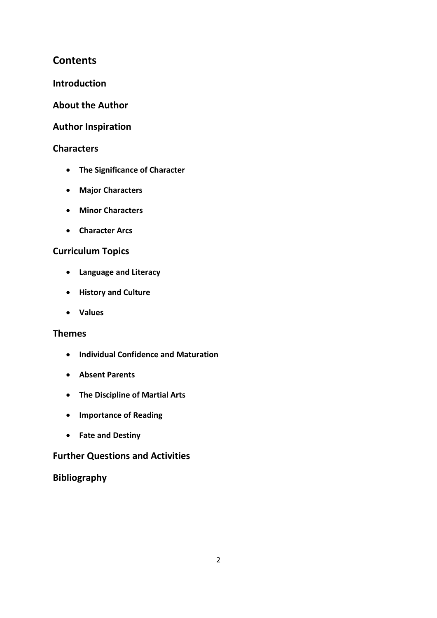# **Contents**

## **Introduction**

## **About the Author**

## **Author Inspiration**

## **Characters**

- **The Significance of Character**
- **Major Characters**
- **Minor Characters**
- **Character Arcs**

## **Curriculum Topics**

- **Language and Literacy**
- **History and Culture**
- **Values**

## **Themes**

- **Individual Confidence and Maturation**
- **Absent Parents**
- **The Discipline of Martial Arts**
- **Importance of Reading**
- **Fate and Destiny**

## **Further Questions and Activities**

# **Bibliography**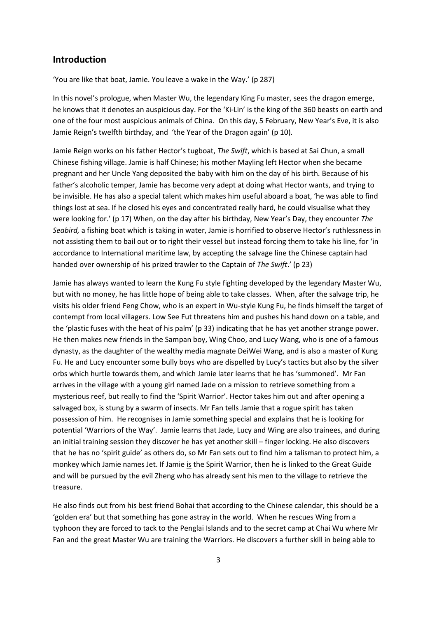## **Introduction**

'You are like that boat, Jamie. You leave a wake in the Way.' (p 287)

In this novel's prologue, when Master Wu, the legendary King Fu master, sees the dragon emerge, he knows that it denotes an auspicious day. For the 'Ki-Lin' is the king of the 360 beasts on earth and one of the four most auspicious animals of China. On this day, 5 February, New Year's Eve, it is also Jamie Reign's twelfth birthday, and 'the Year of the Dragon again' (p 10).

Jamie Reign works on his father Hector's tugboat, *The Swift*, which is based at Sai Chun, a small Chinese fishing village. Jamie is half Chinese; his mother Mayling left Hector when she became pregnant and her Uncle Yang deposited the baby with him on the day of his birth. Because of his father's alcoholic temper, Jamie has become very adept at doing what Hector wants, and trying to be invisible. He has also a special talent which makes him useful aboard a boat, 'he was able to find things lost at sea. If he closed his eyes and concentrated really hard, he could visualise what they were looking for.' (p 17) When, on the day after his birthday, New Year's Day, they encounter *The Seabird,* a fishing boat which is taking in water, Jamie is horrified to observe Hector's ruthlessness in not assisting them to bail out or to right their vessel but instead forcing them to take his line, for 'in accordance to International maritime law, by accepting the salvage line the Chinese captain had handed over ownership of his prized trawler to the Captain of *The Swift*.' (p 23)

Jamie has always wanted to learn the Kung Fu style fighting developed by the legendary Master Wu, but with no money, he has little hope of being able to take classes. When, after the salvage trip, he visits his older friend Feng Chow, who is an expert in Wu-style Kung Fu, he finds himself the target of contempt from local villagers. Low See Fut threatens him and pushes his hand down on a table, and the 'plastic fuses with the heat of his palm' (p 33) indicating that he has yet another strange power. He then makes new friends in the Sampan boy, Wing Choo, and Lucy Wang, who is one of a famous dynasty, as the daughter of the wealthy media magnate DeiWei Wang, and is also a master of Kung Fu. He and Lucy encounter some bully boys who are dispelled by Lucy's tactics but also by the silver orbs which hurtle towards them, and which Jamie later learns that he has 'summoned'. Mr Fan arrives in the village with a young girl named Jade on a mission to retrieve something from a mysterious reef, but really to find the 'Spirit Warrior'. Hector takes him out and after opening a salvaged box, is stung by a swarm of insects. Mr Fan tells Jamie that a rogue spirit has taken possession of him. He recognises in Jamie something special and explains that he is looking for potential 'Warriors of the Way'. Jamie learns that Jade, Lucy and Wing are also trainees, and during an initial training session they discover he has yet another skill – finger locking. He also discovers that he has no 'spirit guide' as others do, so Mr Fan sets out to find him a talisman to protect him, a monkey which Jamie names Jet. If Jamie is the Spirit Warrior, then he is linked to the Great Guide and will be pursued by the evil Zheng who has already sent his men to the village to retrieve the treasure.

He also finds out from his best friend Bohai that according to the Chinese calendar, this should be a 'golden era' but that something has gone astray in the world. When he rescues Wing from a typhoon they are forced to tack to the Penglai Islands and to the secret camp at Chai Wu where Mr Fan and the great Master Wu are training the Warriors. He discovers a further skill in being able to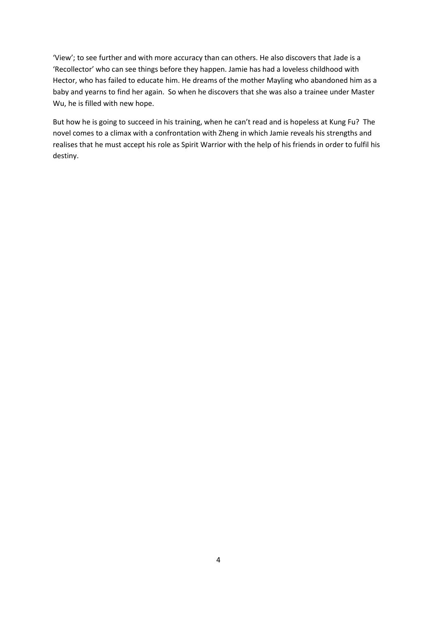'View'; to see further and with more accuracy than can others. He also discovers that Jade is a 'Recollector' who can see things before they happen. Jamie has had a loveless childhood with Hector, who has failed to educate him. He dreams of the mother Mayling who abandoned him as a baby and yearns to find her again. So when he discovers that she was also a trainee under Master Wu, he is filled with new hope.

But how he is going to succeed in his training, when he can't read and is hopeless at Kung Fu? The novel comes to a climax with a confrontation with Zheng in which Jamie reveals his strengths and realises that he must accept his role as Spirit Warrior with the help of his friends in order to fulfil his destiny.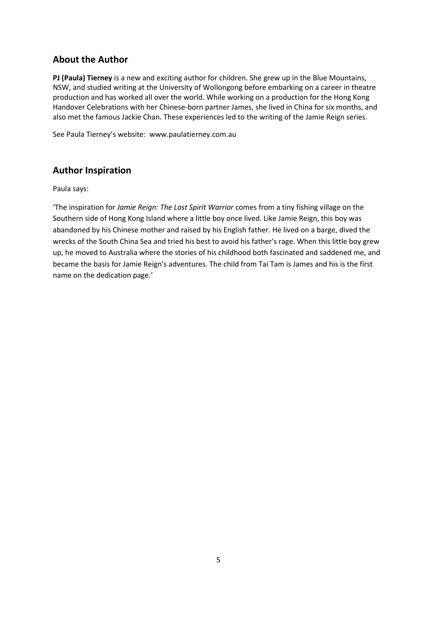## **About the Author**

**PJ (Paula) Tierney** is a new and exciting author for children. She grew up in the Blue Mountains, NSW, and studied writing at the University of Wollongong before embarking on a career in theatre production and has worked all over the world. While working on a production for the Hong Kong Handover Celebrations with her Chinese-born partner James, she lived in China for six months, and also met the famous Jackie Chan. These experiences led to the writing of the Jamie Reign series.

See Paula Tierney's website: [www.paulatierney.com.au](http://www.paulatierney.com.au/)

# **Author Inspiration**

Paula says:

'The inspiration for *Jamie Reign: The Last Spirit Warrior* comes from a tiny fishing village on the Southern side of Hong Kong Island where a little boy once lived. Like Jamie Reign, this boy was abandoned by his Chinese mother and raised by his English father. He lived on a barge, dived the wrecks of the South China Sea and tried his best to avoid his father's rage. When this little boy grew up, he moved to Australia where the stories of his childhood both fascinated and saddened me, and became the basis for Jamie Reign's adventures. The child from Tai Tam is James and his is the first name on the dedication page.'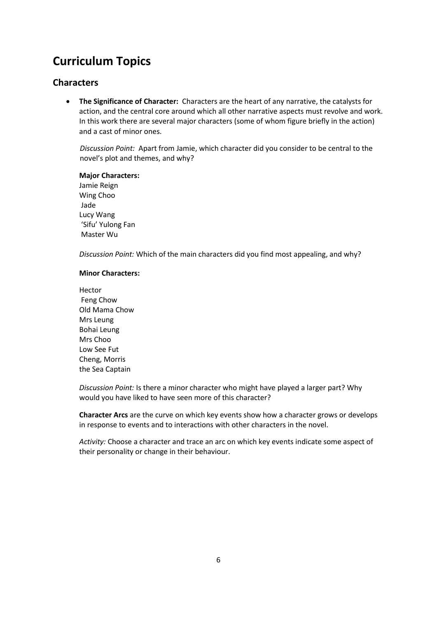# **Curriculum Topics**

## **Characters**

 **The Significance of Character:** Characters are the heart of any narrative, the catalysts for action, and the central core around which all other narrative aspects must revolve and work. In this work there are several major characters (some of whom figure briefly in the action) and a cast of minor ones.

*Discussion Point:* Apart from Jamie, which character did you consider to be central to the novel's plot and themes, and why?

#### **Major Characters:**

Jamie Reign Wing Choo Jade Lucy Wang 'Sifu' Yulong Fan Master Wu

*Discussion Point:* Which of the main characters did you find most appealing, and why?

#### **Minor Characters:**

Hector Feng Chow Old Mama Chow Mrs Leung Bohai Leung Mrs Choo Low See Fut Cheng, Morris the Sea Captain

*Discussion Point:* Is there a minor character who might have played a larger part? Why would you have liked to have seen more of this character?

**Character Arcs** are the curve on which key events show how a character grows or develops in response to events and to interactions with other characters in the novel.

*Activity:* Choose a character and trace an arc on which key events indicate some aspect of their personality or change in their behaviour.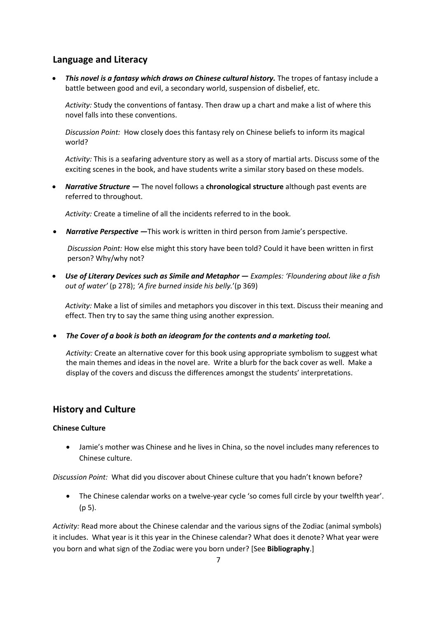## **Language and Literacy**

**This novel is a fantasy which draws on Chinese cultural history.** The tropes of fantasy include a battle between good and evil, a secondary world, suspension of disbelief, etc.

*Activity:* Study the conventions of fantasy. Then draw up a chart and make a list of where this novel falls into these conventions.

*Discussion Point:* How closely does this fantasy rely on Chinese beliefs to inform its magical world?

*Activity:* This is a seafaring adventure story as well as a story of martial arts. Discuss some of the exciting scenes in the book, and have students write a similar story based on these models.

 *Narrative Structure —* The novel follows a **chronological structure** although past events are referred to throughout.

*Activity:* Create a timeline of all the incidents referred to in the book.

*Narrative Perspective —*This work is written in third person from Jamie's perspective.

*Discussion Point:* How else might this story have been told? Could it have been written in first person? Why/why not?

 *Use of Literary Devices such as Simile and Metaphor — Examples: 'Floundering about like a fish out of water'* (p 278); *'A fire burned inside his belly.*'(p 369)

*Activity:* Make a list of similes and metaphors you discover in this text. Discuss their meaning and effect. Then try to say the same thing using another expression.

*The Cover of a book is both an ideogram for the contents and a marketing tool.* 

*Activity:* Create an alternative cover for this book using appropriate symbolism to suggest what the main themes and ideas in the novel are. Write a blurb for the back cover as well. Make a display of the covers and discuss the differences amongst the students' interpretations.

## **History and Culture**

#### **Chinese Culture**

 Jamie's mother was Chinese and he lives in China, so the novel includes many references to Chinese culture.

*Discussion Point:* What did you discover about Chinese culture that you hadn't known before?

 The Chinese calendar works on a twelve-year cycle 'so comes full circle by your twelfth year'. (p 5).

*Activity:* Read more about the Chinese calendar and the various signs of the Zodiac (animal symbols) it includes. What year is it this year in the Chinese calendar? What does it denote? What year were you born and what sign of the Zodiac were you born under? [See **Bibliography**.]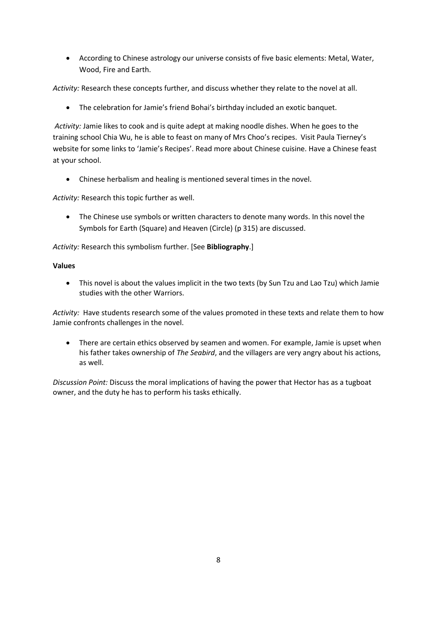According to Chinese astrology our universe consists of five basic elements: Metal, Water, Wood, Fire and Earth.

*Activity:* Research these concepts further, and discuss whether they relate to the novel at all.

The celebration for Jamie's friend Bohai's birthday included an exotic banquet.

*Activity:* Jamie likes to cook and is quite adept at making noodle dishes. When he goes to the training school Chia Wu, he is able to feast on many of Mrs Choo's recipes. Visit Paula Tierney's website for some links to 'Jamie's Recipes'. Read more about Chinese cuisine. Have a Chinese feast at your school.

Chinese herbalism and healing is mentioned several times in the novel.

*Activity:* Research this topic further as well.

 The Chinese use symbols or written characters to denote many words. In this novel the Symbols for Earth (Square) and Heaven (Circle) (p 315) are discussed.

*Activity:* Research this symbolism further. [See **Bibliography**.]

#### **Values**

 This novel is about the values implicit in the two texts (by Sun Tzu and Lao Tzu) which Jamie studies with the other Warriors.

*Activity:* Have students research some of the values promoted in these texts and relate them to how Jamie confronts challenges in the novel.

 There are certain ethics observed by seamen and women. For example, Jamie is upset when his father takes ownership of *The Seabird*, and the villagers are very angry about his actions, as well.

*Discussion Point:* Discuss the moral implications of having the power that Hector has as a tugboat owner, and the duty he has to perform his tasks ethically.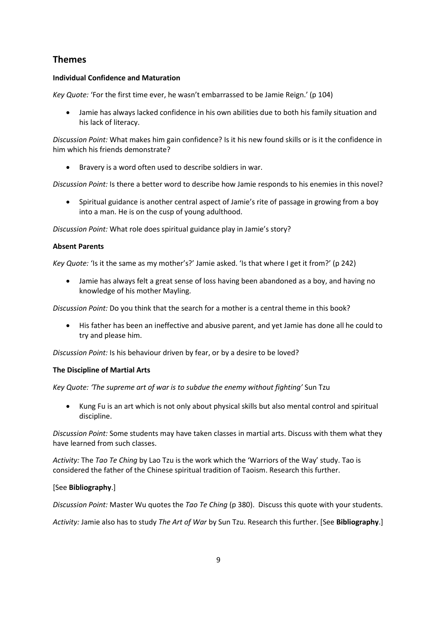# **Themes**

#### **Individual Confidence and Maturation**

*Key Quote:* 'For the first time ever, he wasn't embarrassed to be Jamie Reign.' (p 104)

 Jamie has always lacked confidence in his own abilities due to both his family situation and his lack of literacy.

*Discussion Point:* What makes him gain confidence? Is it his new found skills or is it the confidence in him which his friends demonstrate?

Bravery is a word often used to describe soldiers in war.

*Discussion Point:* Is there a better word to describe how Jamie responds to his enemies in this novel?

• Spiritual guidance is another central aspect of Jamie's rite of passage in growing from a boy into a man. He is on the cusp of young adulthood.

*Discussion Point:* What role does spiritual guidance play in Jamie's story?

### **Absent Parents**

*Key Quote:* 'Is it the same as my mother's?' Jamie asked. 'Is that where I get it from?' (p 242)

 Jamie has always felt a great sense of loss having been abandoned as a boy, and having no knowledge of his mother Mayling.

*Discussion Point:* Do you think that the search for a mother is a central theme in this book?

 His father has been an ineffective and abusive parent, and yet Jamie has done all he could to try and please him.

*Discussion Point:* Is his behaviour driven by fear, or by a desire to be loved?

#### **The Discipline of Martial Arts**

*Key Quote: 'The supreme art of war is to subdue the enemy without fighting'* Sun Tzu

 Kung Fu is an art which is not only about physical skills but also mental control and spiritual discipline.

*Discussion Point:* Some students may have taken classes in martial arts. Discuss with them what they have learned from such classes.

*Activity:* The *Tao Te Ching* by Lao Tzu is the work which the 'Warriors of the Way' study. Tao is considered the father of the Chinese spiritual tradition of Taoism. Research this further.

#### [See **Bibliography**.]

*Discussion Point:* Master Wu quotes the *Tao Te Ching* (p 380). Discuss this quote with your students.

*Activity:* Jamie also has to study *The Art of War* by Sun Tzu. Research this further. [See **Bibliography**.]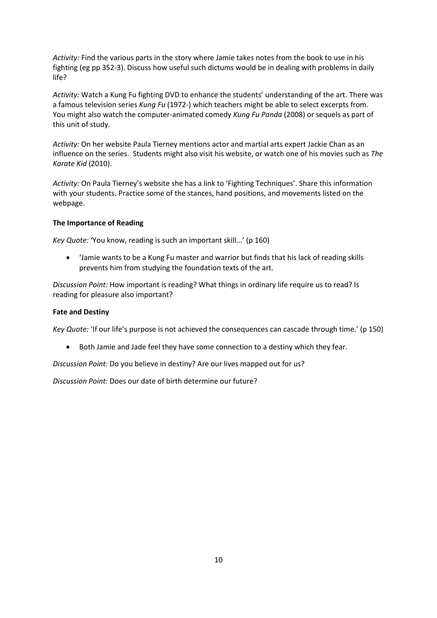*Activity:* Find the various parts in the story where Jamie takes notes from the book to use in his fighting (eg pp 352-3). Discuss how useful such dictums would be in dealing with problems in daily life?

*Activity:* Watch a Kung Fu fighting DVD to enhance the students' understanding of the art. There was a famous television series *Kung Fu* (1972-) which teachers might be able to select excerpts from. You might also watch the computer-animated comedy *Kung Fu Panda* (2008) or sequels as part of this unit of study.

*Activity:* On her website Paula Tierney mentions actor and martial arts expert Jackie Chan as an influence on the series. Students might also visit his website, or watch one of his movies such as *The Karate Kid* (2010).

*Activity:* On Paula Tierney's website she has a link to 'Fighting Techniques'. Share this information with your students. Practice some of the stances, hand positions, and movements listed on the webpage.

#### **The Importance of Reading**

*Key Quote:* 'You know, reading is such an important skill...' (p 160)

 'Jamie wants to be a Kung Fu master and warrior but finds that his lack of reading skills prevents him from studying the foundation texts of the art.

*Discussion Point:* How important is reading? What things in ordinary life require us to read? Is reading for pleasure also important?

#### **Fate and Destiny**

*Key Quote:* 'If our life's purpose is not achieved the consequences can cascade through time.' (p 150)

Both Jamie and Jade feel they have some connection to a destiny which they fear.

*Discussion Point:* Do you believe in destiny? Are our lives mapped out for us?

*Discussion Point:* Does our date of birth determine our future?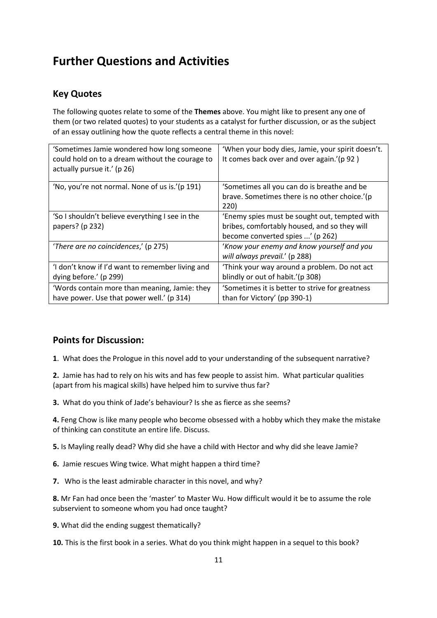# **Further Questions and Activities**

# **Key Quotes**

The following quotes relate to some of the **Themes** above. You might like to present any one of them (or two related quotes) to your students as a catalyst for further discussion, or as the subject of an essay outlining how the quote reflects a central theme in this novel:

| 'Sometimes Jamie wondered how long someone<br>could hold on to a dream without the courage to<br>actually pursue it.' (p 26) | 'When your body dies, Jamie, your spirit doesn't.<br>It comes back over and over again.'(p 92)                                    |
|------------------------------------------------------------------------------------------------------------------------------|-----------------------------------------------------------------------------------------------------------------------------------|
| 'No, you're not normal. None of us is.'(p 191)                                                                               | 'Sometimes all you can do is breathe and be<br>brave. Sometimes there is no other choice.'(p<br>220)                              |
| 'So I shouldn't believe everything I see in the<br>papers? (p 232)                                                           | 'Enemy spies must be sought out, tempted with<br>bribes, comfortably housed, and so they will<br>become converted spies ' (p 262) |
| 'There are no coincidences,' (p 275)                                                                                         | 'Know your enemy and know yourself and you<br>will always prevail.' (p 288)                                                       |
| 'I don't know if I'd want to remember living and<br>dying before.' (p 299)                                                   | 'Think your way around a problem. Do not act<br>blindly or out of habit.'(p 308)                                                  |
| 'Words contain more than meaning, Jamie: they<br>have power. Use that power well.' (p 314)                                   | 'Sometimes it is better to strive for greatness<br>than for Victory' (pp 390-1)                                                   |

## **Points for Discussion:**

**1**. What does the Prologue in this novel add to your understanding of the subsequent narrative?

**2.** Jamie has had to rely on his wits and has few people to assist him. What particular qualities (apart from his magical skills) have helped him to survive thus far?

**3.** What do you think of Jade's behaviour? Is she as fierce as she seems?

**4.** Feng Chow is like many people who become obsessed with a hobby which they make the mistake of thinking can constitute an entire life. Discuss.

**5.** Is Mayling really dead? Why did she have a child with Hector and why did she leave Jamie?

**6.** Jamie rescues Wing twice. What might happen a third time?

**7.** Who is the least admirable character in this novel, and why?

**8.** Mr Fan had once been the 'master' to Master Wu. How difficult would it be to assume the role subservient to someone whom you had once taught?

**9.** What did the ending suggest thematically?

**10.** This is the first book in a series. What do you think might happen in a sequel to this book?